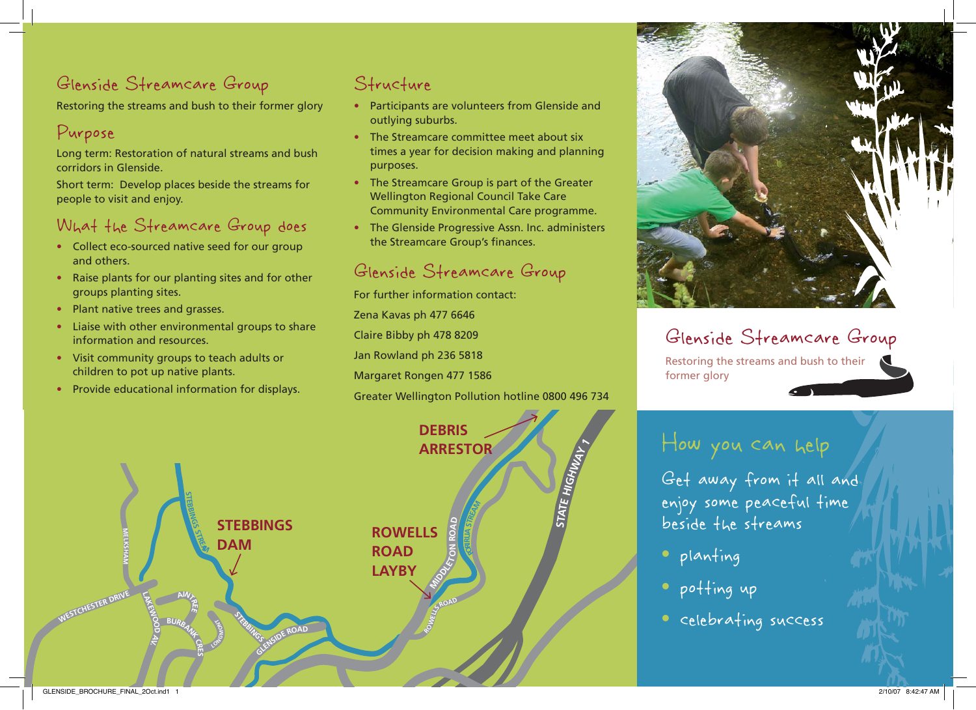## Glenside Streamcare Group

Restoring the streams and bush to their former glory

### Purpose

Long term: Restoration of natural streams and bush corridors in Glenside.

Short term: Develop places beside the streams for people to visit and enjoy.

### What the Streamcare Group does

- Collect eco-sourced native seed for our group and others.
- Raise plants for our planting sites and for other groups planting sites.
- Plant native trees and grasses.
- Liaise with other environmental groups to share information and resources.
- Visit community groups to teach adults or children to pot up native plants.
- Provide educational information for displays.

### Structure

- Participants are volunteers from Glenside and outlying suburbs.
- The Streamcare committee meet about six times a year for decision making and planning purposes.
- The Streamcare Group is part of the Greater Wellington Regional Council Take Care Community Environmental Care programme.
- The Glenside Progressive Assn. Inc. administers the Streamcare Group's finances.

#### Glenside Streamcare Group

For further information contact: Zena Kavas ph 477 6646 Claire Bibby ph 478 8209 Jan Rowland ph 236 5818 Margaret Rongen 477 1586 Greater Wellington Pollution hotline 0800 496 734



# Glenside Streamcare Group

Restoring the streams and bush to their former glory

# How you can help

Glenside Streamcare Group

Get away from it all and enjoy some peaceful time beside the streams

- <sup>p</sup>lanting
- potting up
- celebrating success